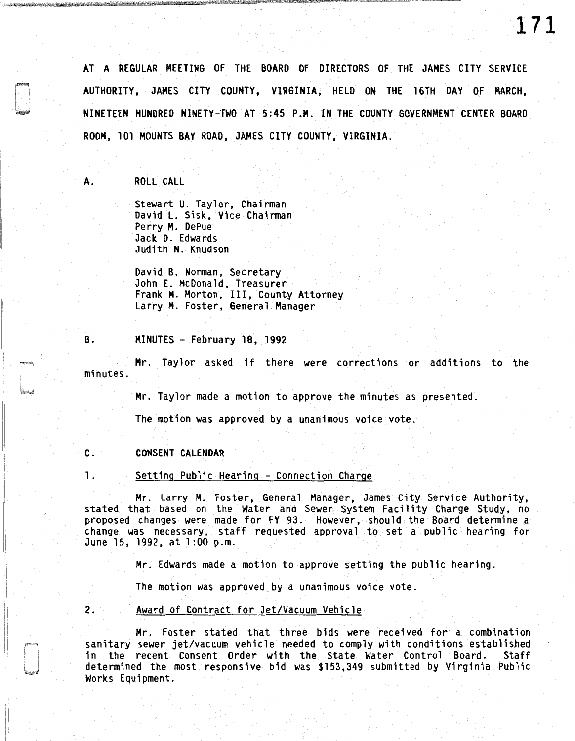AT A REGULAR MEETING OF THE BOARD OF DIRECTORS OF THE JAMES CITY SERVICE AUTHORITY, JAMES CITY COUNTY, VIRGINIA, HELD ON THE 16TH DAY OF MARCH, NINETEEN HUNDRED NINETY-TWO AT 5:45 P.M. IN THE COUNTY GOVERNMENT CENTER BOARD ROOM, 101 MOUNTS BAY ROAD, JAMES CITY COUNTY, VIRGINIA.

A. ROLL CALL

Stewart U. Taylor, Chairman David L. Sisk, Vice Chairman Perry M. DePue Jack D. Edwards Judith N. Knudson

David B. Norman, Secretary John E. McDonald, Treasurer Frank M. Morton, III, County Attorney Larry M. Foster, General Manager

B. MINUTES - February 18, 1992

Mr. Taylor asked if there were corrections or additions to the minutes.

Mr. Taylor made a motion to approve the minutes as presented.

The motion was approved by a unanimous voice vote.

### C. CONSENT CALENDAR

1. Setting Public Hearing - Connection Charge

Mr. Larry M. Foster, General Manager, James City Service Authority, stated that based on the Water and Sewer System Facility Charge Study, no proposed changes were made for FY 93. However, should the Board determine a change was necessary, staff requested approval to set a public hearing for June 15, 1992, at 1:00 p.m.

Mr. Edwards made a motion to approve setting the public hearing.

The motion was approved by a unanimous voice vote.

2. Award of Contract for Jet/Vacuum Vehicle

Mr. Foster stated that three bids were received for a combination sanitary sewer jet/vacuum vehicle needed to comply with conditions established<br>in the recent Consent Order with the State Water Control Board. Staff in the recent Consent Order with the State Water Control Board. determined the most responsive bid was \$153,349 submitted by Virginia Public Works Equipment.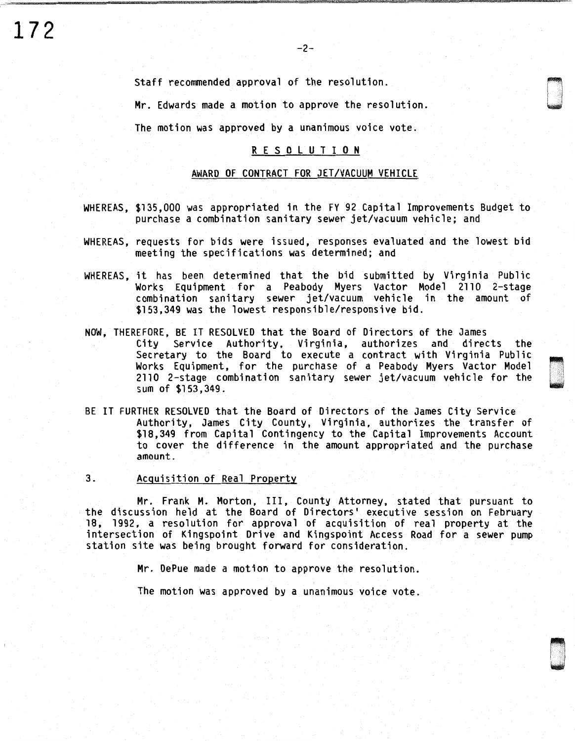**172** 

'~ u

Staff recommended approval of the resolution.

Mr. Edwards made a motion to approve the resolution.

The motion was approved by a unanimous voice vote.

# R E S 0 L U T I 0 N

## AWARD OF CONTRACT FOR JET/VACUUM VEHICLE

- WHEREAS, \$135,000 was appropriated in the FY 92 Capital Improvements Budget to purchase a combination sanitary sewer jet/vacuum vehicle; and
- WHEREAS, requests for bids were issued, responses evaluated and the lowest bid meeting the specifications was determined; and
- WHEREAS, it has been determined that the bid submitted by Virginia Public Works Equipment for a Peabody Myers Vactor Model 2110 2-stage combination sanitary sewer jet/vacuum vehicle in the amount of \$153,349 was the lowest responsible/responsive bid.
- NOW, THEREFORE, BE IT RESOLVED that the Board of Directors of the James City Service Authority, Virginia, authorizes and directs the Secretary to the Board to execute a contract with Virginia Public Works Equipment, for the purchase of a Peabody Myers Vactor Model 2110 2-stage combination sanitary sewer jet/vacuum vehicle for the sum of \$153,349.
- BE IT FURTHER RESOLVED that the Board of Directors of the James City Service Authority, James City County, Virginia, authorizes the transfer of \$18,349 from Capital Contingency to the Capital Improvements Account to cover the difference in the amount appropriated and the purchase amount.
- 3. Acquisition of Real Property

Mr. Frank M. Morton, III, County Attorney, stated that pursuant to the discussion held at the Board of Directors' executive session on February 18, 1992, a resolution for approval of acquisition of real property at the intersection of Kingspoint Drive and Kingspoint Access Road for a sewer pump station site was being brought forward for consideration.

Mr. DePue made a motion to approve the resolution.

The motion was approved by a unanimous voice vote.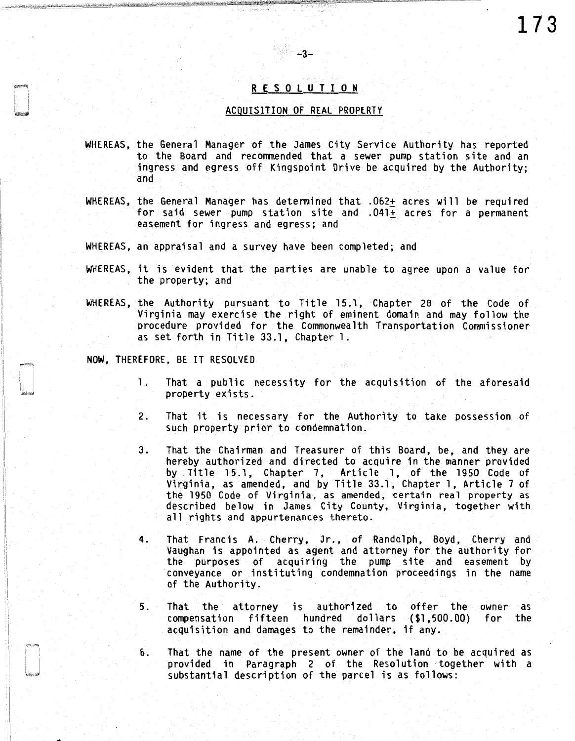# R E S 0 L U T I 0 N

-3-

#### ACQUISITION OF REAL PROPERTY

- WHEREAS, the General Manager of the James City Service Authority has reported to the Board and recommended that a sewer pump station site and an ingress and egress off Kingspoint Drive be acquired by the Authority; and
- WHEREAS, the General Manager has determined that .062+ acres will be required for said sewer pump station site and .041± acres for a permanent easement for ingress and egress; and
- WHEREAS, an appraisal and a survey have been completed; and
- WHEREAS, it is evident that the parties are unable to agree upon a value for the property; and
- WHEREAS, the Authority pursuant to Title 15.1, Chapter 28 of the Code of Virginia may exercise the right of eminent domain and may follow the procedure provided for the Commonwealth Transportation Commissioner as set forth in Title 33.1, Chapter 1.
- NOW, THEREFORE, BE IT RESOLVED

•

- 1. That a public necessity for the acquisition of the aforesaid property exists.
- 2. That it is necessary for the Authority to take possession of such property prior to condemnation.
- 3. That the Chairman and Treasurer of this Board, be, and they are hereby authorized and directed to acquire in the manner provided by Title 15.1, Chapter 7, Article 1, of the 1950 Code of Virginia, as amended, and by Title 33.1, Chapter 1, Article 7 of the 1950 Code of Virginia, as amended, certain real property as described below in James City County, Virginia, together with all rights and appurtenances thereto.
- 4. That Francis A. Cherry, Jr., of Randolph, Boyd, Cherry and Vaughan is appointed as agent and attorney for the authority for the purposes of acquiring the pump site and easement by conveyance or instituting condemnation proceedings in the name of the Authority.
- 5. That the attorney is authorized to offer the owner as compensation fifteen hundred dollars (\$1,500.00) for the acquisition and damages to the remainder, if any.
- 6. That the name of the present owner of the land to be acquired as provided in Paragraph 2 of the Resolution together with a substantial description of the parcel is as follows: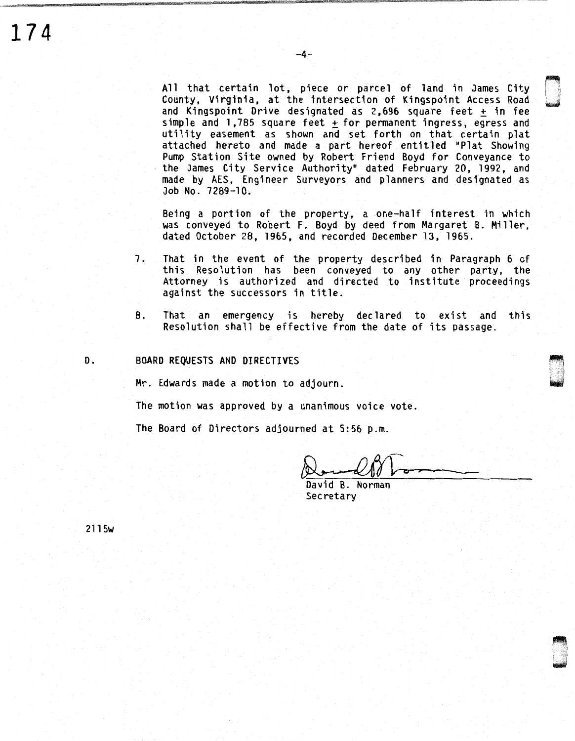All that certain lot, piece or parcel of land in James City County, Virginia, at the intersection of Kingspoint Access Road and Kingspoint Drive designated as  $2,696$  square feet  $+$  in fee simple and  $1,785$  square feet + for permanent ingress, egress and utility easement as shown and set forth on that certain plat attached hereto and made a part hereof entitled "Plat Showing Pump Station Site owned by Robert Friend Boyd for Conveyance to the James City Service Authority" dated February 20, 1992, and made by AES, Engineer Surveyors and planners and designated as Job No. 7289-10.

Being a portion of the property, a one-half interest in which was conveyed to Robert F. Boyd by deed from Margaret B. Miller, dated October 28, 1965, and recorded December 13, 1965.

- 7. That in the event of the property described in Paragraph 6 of this Resolution has been conveyed to any other party, the Attorney is authorized and directed to institute proceedings against the successors in title.
- 8. That an emergency is hereby declared to exist and this Resolution shall be effective from the date of its passage.

#### D. BOARD REQUESTS AND DIRECTIVES

Mr. Edwards made a motion to adjourn.

The motion was approved by a unanimous voice vote.

The Board of Directors adjourned at 5:56 p.m.

> -------

~ i l I ··j u

I n I ~

David B. Norman **Secretary** 

2115w